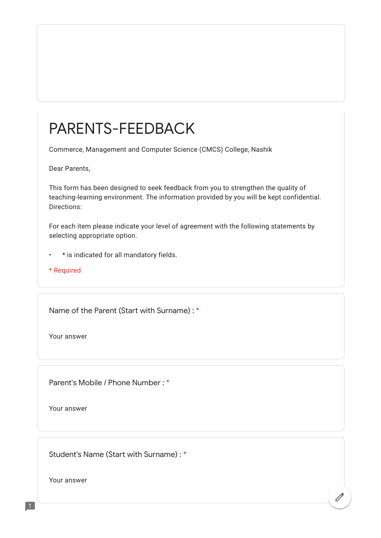## PARENTS-FEEDBACK

Commerce, Management and Computer Science (CMCS) College, Nashik

Dear Parents,

This form has been designed to seek feedback from you to strengthen the quality of teaching-learning environment. The information provided by you will be kept confidential. Directions:

For each item please indicate your level of agreement with the following statements by selecting appropriate option.

 $\overline{\mathscr{O}}$ 

- \* is indicated for all mandatory fields.
- \* Required

Name of the Parent (Start with Surname) : \*

Your answer

Parent's Mobile / Phone Number : \*

Your answer

Student's Name (Start with Surname) : \*

Your answer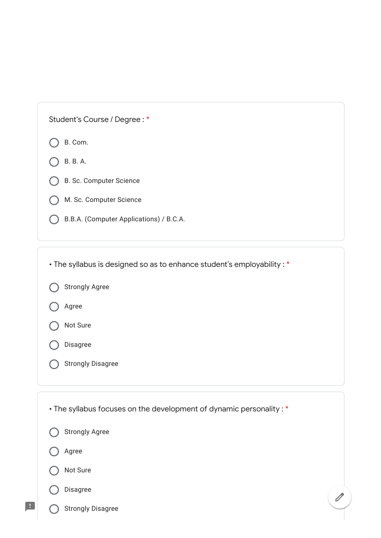| Student's Course / Degree: * |
|------------------------------|
|------------------------------|

|  | Com. |
|--|------|
|  |      |

- B. B. A.
- B. Sc. Computer Science
- M. Sc. Computer Science
- B.B.A. (Computer Applications) / B.C.A.

• The syllabus is designed so as to enhance student's employability : \*

|  | <b>Strongly Agree</b> |
|--|-----------------------|
|--|-----------------------|

- Agree
- Not Sure
- Disagree
- Strongly Disagree

• The syllabus focuses on the development of dynamic personality : \*

 $\bigg)$ 

Strongly Agree

Agree

Not Sure



H

Strongly Disagree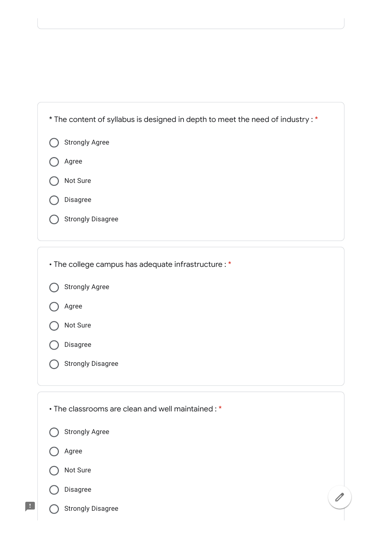| * The content of syllabus is designed in depth to meet the need of industry : * |  |
|---------------------------------------------------------------------------------|--|
| <b>Strongly Agree</b>                                                           |  |
| Agree                                                                           |  |
| Not Sure                                                                        |  |
| <b>Disagree</b>                                                                 |  |
| <b>Strongly Disagree</b>                                                        |  |
|                                                                                 |  |

• The college campus has adequate infrastructure : \*

|  | <b>Strongly Agree</b> |  |
|--|-----------------------|--|
|--|-----------------------|--|

Agree



Disagree

Strongly Disagree  $\bigcap$ 

Strongly Agree Agree Not Sure Disagree Strongly Disagree • The classrooms are clean and well maintained : \*

 $\overline{\mathscr{O}}$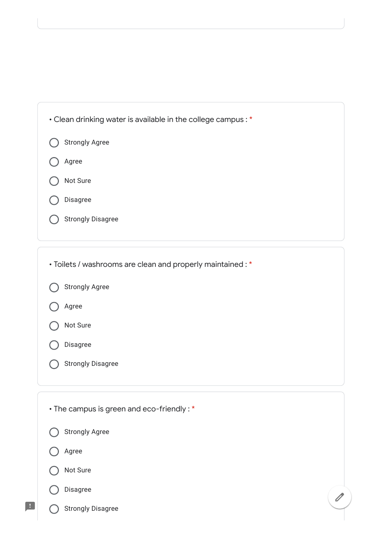| • Clean drinking water is available in the college campus: * |  |
|--------------------------------------------------------------|--|
| <b>Strongly Agree</b>                                        |  |
| Agree                                                        |  |
| Not Sure                                                     |  |
| Disagree                                                     |  |
| <b>Strongly Disagree</b>                                     |  |
|                                                              |  |

| • Toilets / washrooms are clean and properly maintained : * |  |
|-------------------------------------------------------------|--|
| <b>Strongly Agree</b>                                       |  |
| Agree                                                       |  |
| Not Sure                                                    |  |
| Disagree                                                    |  |
| <b>Strongly Disagree</b>                                    |  |
|                                                             |  |
| • The campus is green and eco-friendly: *                   |  |
| <b>Strongly Agree</b>                                       |  |
| Agree                                                       |  |

 $\overline{\mathscr{O}}$ 

Not Sure (

## Disagree  $\left( \begin{array}{c} \end{array} \right)$

 $\blacksquare$ 

Strongly Disagree  $\bigcap$